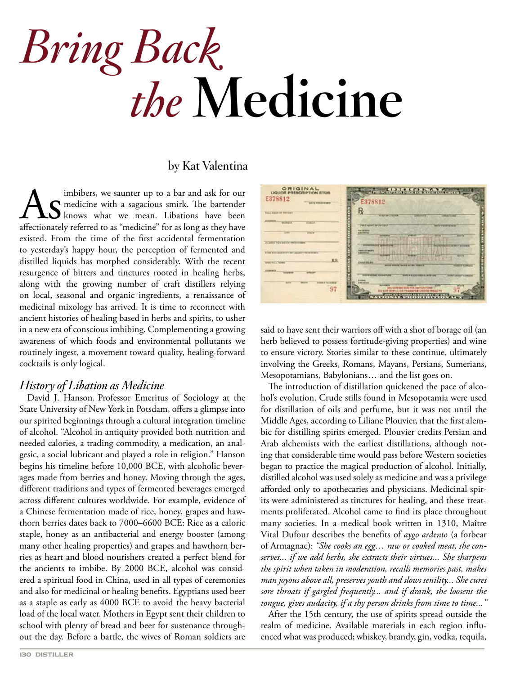# *Bring Back* *the* **Medicine**

# **by Kat Valentina**

imbibers, we saunter up to a bar and ask for our<br> **AS** medicine with a sagacious smirk. The bartender<br>
affectionately referred to as "medicine" for as long as they have medicine with a sagacious smirk. The bartender knows what we mean. Libations have been affectionately referred to as "medicine" for as long as they have existed. From the time of the first accidental fermentation to yesterday's happy hour, the perception of fermented and distilled liquids has morphed considerably. With the recent resurgence of bitters and tinctures rooted in healing herbs, along with the growing number of craft distillers relying on local, seasonal and organic ingredients, a renaissance of medicinal mixology has arrived. It is time to reconnect with ancient histories of healing based in herbs and spirits, to usher in a new era of conscious imbibing. Complementing a growing awareness of which foods and environmental pollutants we routinely ingest, a movement toward quality, healing-forward cocktails is only logical.

## *History of Libation as Medicine*

David J. Hanson, Professor Emeritus of Sociology at the State University of New York in Potsdam, offers a glimpse into our spirited beginnings through a cultural integration timeline of alcohol. "Alcohol in antiquity provided both nutrition and needed calories, a trading commodity, a medication, an analgesic, a social lubricant and played a role in religion." Hanson begins his timeline before 10,000 BCE, with alcoholic beverages made from berries and honey. Moving through the ages, different traditions and types of fermented beverages emerged across different cultures worldwide. For example, evidence of a Chinese fermentation made of rice, honey, grapes and hawthorn berries dates back to 7000–6600 BCE: Rice as a caloric staple, honey as an antibacterial and energy booster (among many other healing properties) and grapes and hawthorn berries as heart and blood nourishers created a perfect blend for the ancients to imbibe. By 2000 BCE, alcohol was considered a spiritual food in China, used in all types of ceremonies and also for medicinal or healing benefits. Egyptians used beer as a staple as early as 4000 BCE to avoid the heavy bacterial load of the local water. Mothers in Egypt sent their children to school with plenty of bread and beer for sustenance throughout the day. Before a battle, the wives of Roman soldiers are



said to have sent their warriors off with a shot of borage oil (an herb believed to possess fortitude-giving properties) and wine to ensure victory. Stories similar to these continue, ultimately involving the Greeks, Romans, Mayans, Persians, Sumerians, Mesopotamians, Babylonians… and the list goes on.

The introduction of distillation quickened the pace of alcohol's evolution. Crude stills found in Mesopotamia were used for distillation of oils and perfume, but it was not until the Middle Ages, according to Liliane Plouvier, that the first alembic for distilling spirits emerged. Plouvier credits Persian and Arab alchemists with the earliest distillations, although noting that considerable time would pass before Western societies began to practice the magical production of alcohol. Initially, distilled alcohol was used solely as medicine and was a privilege afforded only to apothecaries and physicians. Medicinal spirits were administered as tinctures for healing, and these treatments proliferated. Alcohol came to find its place throughout many societies. In a medical book written in 1310, Maître Vital Dufour describes the benefits of *aygo ardento* (a forbear of Armagnac): *"She cooks an egg… raw or cooked meat, she conserves... if we add herbs, she extracts their virtues... She sharpens the spirit when taken in moderation, recalls memories past, makes man joyous above all, preserves youth and slows senility... She cures sore throats if gargled frequently... and if drank, she loosens the tongue, gives audacity, if a shy person drinks from time to time..."*

After the 15th century, the use of spirits spread outside the realm of medicine. Available materials in each region influenced what was produced; whiskey, brandy, gin, vodka, tequila,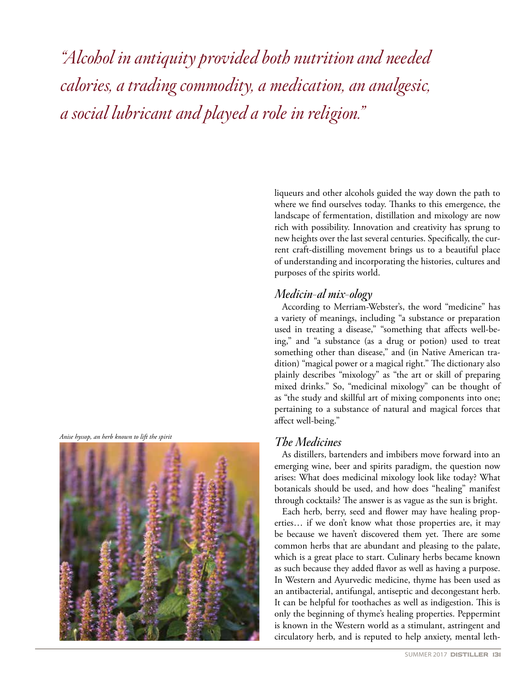*"Alcohol in antiquity provided both nutrition and needed calories, a trading commodity, a medication, an analgesic, a social lubricant and played a role in religion."*

*Anise hyssop, an herb known to lift the spirit*



liqueurs and other alcohols guided the way down the path to where we find ourselves today. Thanks to this emergence, the landscape of fermentation, distillation and mixology are now rich with possibility. Innovation and creativity has sprung to new heights over the last several centuries. Specifically, the current craft-distilling movement brings us to a beautiful place of understanding and incorporating the histories, cultures and purposes of the spirits world.

## *Medicin-al mix-ology*

According to Merriam-Webster's, the word "medicine" has a variety of meanings, including "a substance or preparation used in treating a disease," "something that affects well-being," and "a substance (as a drug or potion) used to treat something other than disease," and (in Native American tradition) "magical power or a magical right." The dictionary also plainly describes "mixology" as "the art or skill of preparing mixed drinks." So, "medicinal mixology" can be thought of as "the study and skillful art of mixing components into one; pertaining to a substance of natural and magical forces that affect well-being."

## *The Medicines*

As distillers, bartenders and imbibers move forward into an emerging wine, beer and spirits paradigm, the question now arises: What does medicinal mixology look like today? What botanicals should be used, and how does "healing" manifest through cocktails? The answer is as vague as the sun is bright.

Each herb, berry, seed and flower may have healing properties… if we don't know what those properties are, it may be because we haven't discovered them yet. There are some common herbs that are abundant and pleasing to the palate, which is a great place to start. Culinary herbs became known as such because they added flavor as well as having a purpose. In Western and Ayurvedic medicine, thyme has been used as an antibacterial, antifungal, antiseptic and decongestant herb. It can be helpful for toothaches as well as indigestion. This is only the beginning of thyme's healing properties. Peppermint is known in the Western world as a stimulant, astringent and circulatory herb, and is reputed to help anxiety, mental leth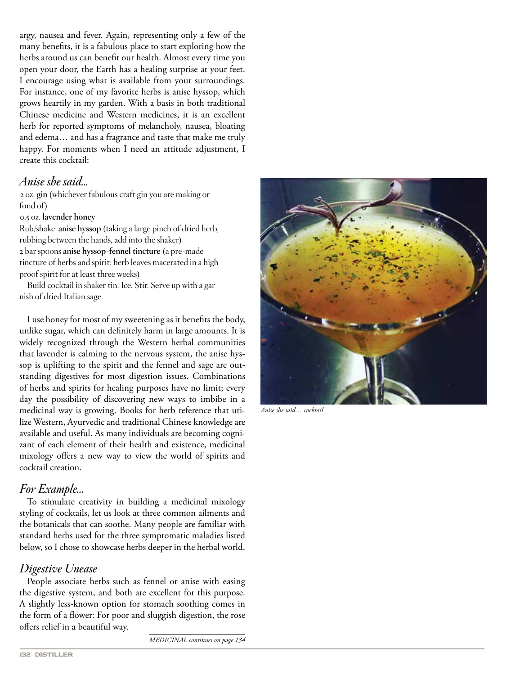argy, nausea and fever. Again, representing only a few of the many benefits, it is a fabulous place to start exploring how the herbs around us can benefit our health. Almost every time you open your door, the Earth has a healing surprise at your feet. I encourage using what is available from your surroundings. For instance, one of my favorite herbs is anise hyssop, which grows heartily in my garden. With a basis in both traditional Chinese medicine and Western medicines, it is an excellent herb for reported symptoms of melancholy, nausea, bloating and edema… and has a fragrance and taste that make me truly happy. For moments when I need an attitude adjustment, I create this cocktail:

## *Anise she said…*

2 oz. **gin** (whichever fabulous craft gin you are making or fond of)

#### 0.5 oz. **lavender honey**

Rub/shake **anise hyssop** (taking a large pinch of dried herb, rubbing between the hands, add into the shaker) 2 bar spoons **anise hyssop-fennel tincture** (a pre-made tincture of herbs and spirit; herb leaves macerated in a highproof spirit for at least three weeks)

Build cocktail in shaker tin. Ice. Stir. Serve up with a garnish of dried Italian sage.

I use honey for most of my sweetening as it benefits the body, unlike sugar, which can definitely harm in large amounts. It is widely recognized through the Western herbal communities that lavender is calming to the nervous system, the anise hyssop is uplifting to the spirit and the fennel and sage are outstanding digestives for most digestion issues. Combinations of herbs and spirits for healing purposes have no limit; every day the possibility of discovering new ways to imbibe in a medicinal way is growing. Books for herb reference that utilize Western, Ayurvedic and traditional Chinese knowledge are available and useful. As many individuals are becoming cognizant of each element of their health and existence, medicinal mixology offers a new way to view the world of spirits and cocktail creation.

## *For Example…*

To stimulate creativity in building a medicinal mixology styling of cocktails, let us look at three common ailments and the botanicals that can soothe. Many people are familiar with standard herbs used for the three symptomatic maladies listed below, so I chose to showcase herbs deeper in the herbal world.

# *Digestive Unease*

People associate herbs such as fennel or anise with easing the digestive system, and both are excellent for this purpose. A slightly less-known option for stomach soothing comes in the form of a flower: For poor and sluggish digestion, the rose offers relief in a beautiful way.



*Anise she said… cocktail*

*MEDICINAL continues on page 134*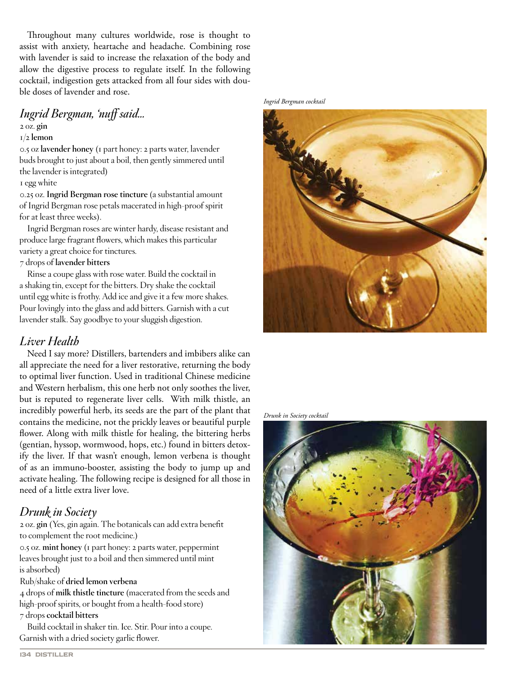Throughout many cultures worldwide, rose is thought to assist with anxiety, heartache and headache. Combining rose with lavender is said to increase the relaxation of the body and allow the digestive process to regulate itself. In the following cocktail, indigestion gets attacked from all four sides with double doses of lavender and rose.

# *Ingrid Bergman, 'nuff said…*

## 2 oz. **gin**

#### 1/2 **lemon**

0.5 oz **lavender honey** (1 part honey: 2 parts water, lavender buds brought to just about a boil, then gently simmered until the lavender is integrated)

#### 1 egg white

0.25 oz. **Ingrid Bergman rose tincture** (a substantial amount of Ingrid Bergman rose petals macerated in high-proof spirit for at least three weeks).

Ingrid Bergman roses are winter hardy, disease resistant and produce large fragrant flowers, which makes this particular variety a great choice for tinctures.

#### 7 drops of **lavender bitters**

Rinse a coupe glass with rose water. Build the cocktail in a shaking tin, except for the bitters. Dry shake the cocktail until egg white is frothy. Add ice and give it a few more shakes. Pour lovingly into the glass and add bitters. Garnish with a cut lavender stalk. Say goodbye to your sluggish digestion.

# *Liver Health*

Need I say more? Distillers, bartenders and imbibers alike can all appreciate the need for a liver restorative, returning the body to optimal liver function. Used in traditional Chinese medicine and Western herbalism, this one herb not only soothes the liver, but is reputed to regenerate liver cells. With milk thistle, an incredibly powerful herb, its seeds are the part of the plant that contains the medicine, not the prickly leaves or beautiful purple flower. Along with milk thistle for healing, the bittering herbs (gentian, hyssop, wormwood, hops, etc.) found in bitters detoxify the liver. If that wasn't enough, lemon verbena is thought of as an immuno-booster, assisting the body to jump up and activate healing. The following recipe is designed for all those in need of a little extra liver love.

# *Drunk in Society*

2 oz. **gin** (Yes, gin again. The botanicals can add extra benefit to complement the root medicine.)

0.5 oz. **mint honey** (1 part honey: 2 parts water, peppermint leaves brought just to a boil and then simmered until mint is absorbed)

Rub/shake of **dried lemon verbena**

4 drops of **milk thistle tincture** (macerated from the seeds and high-proof spirits, or bought from a health-food store) 7 drops **cocktail bitters**

Build cocktail in shaker tin. Ice. Stir. Pour into a coupe. Garnish with a dried society garlic flower.



#### *Drunk in Society cocktail*